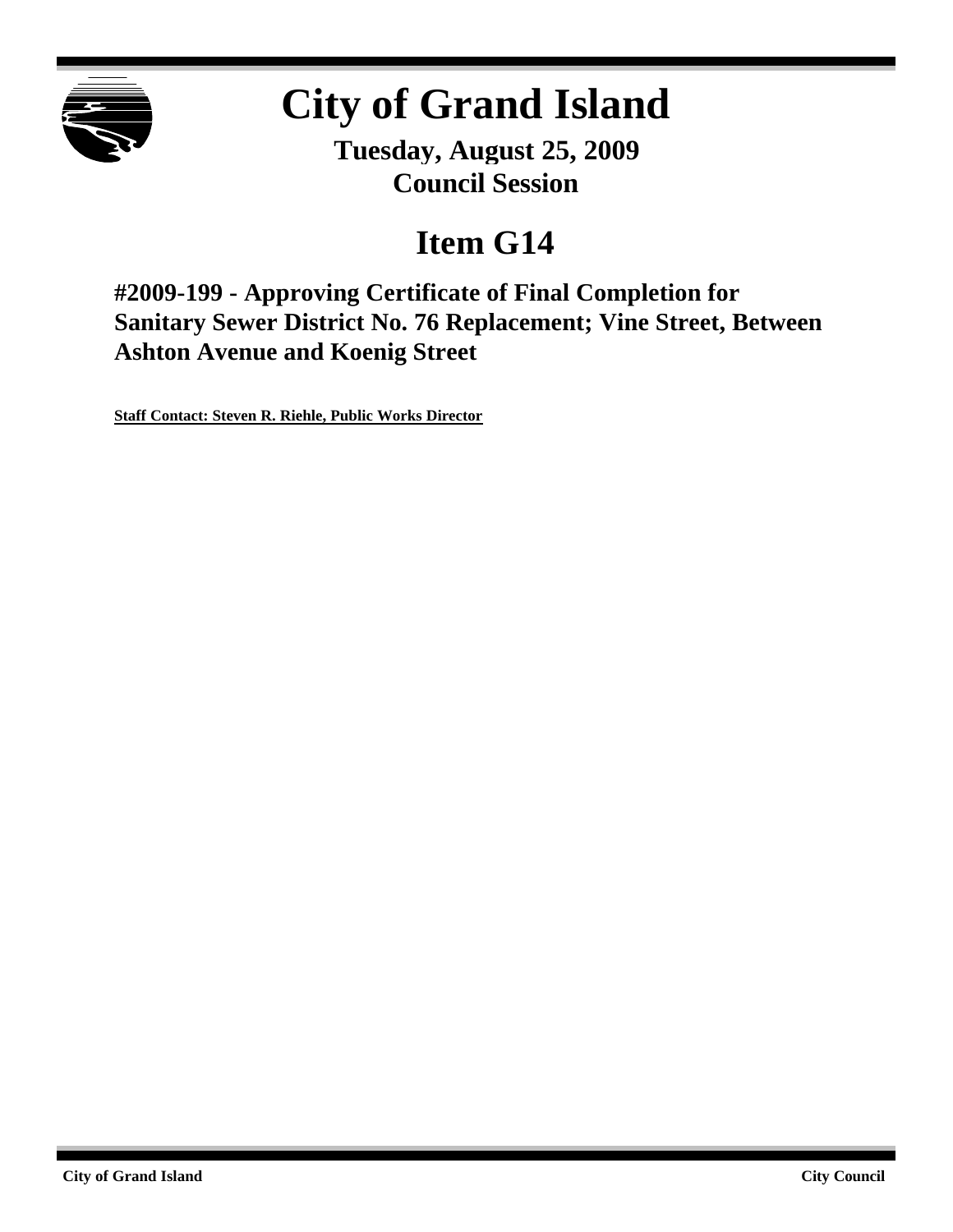

# **City of Grand Island**

**Tuesday, August 25, 2009 Council Session**

## **Item G14**

**#2009-199 - Approving Certificate of Final Completion for Sanitary Sewer District No. 76 Replacement; Vine Street, Between Ashton Avenue and Koenig Street**

**Staff Contact: Steven R. Riehle, Public Works Director**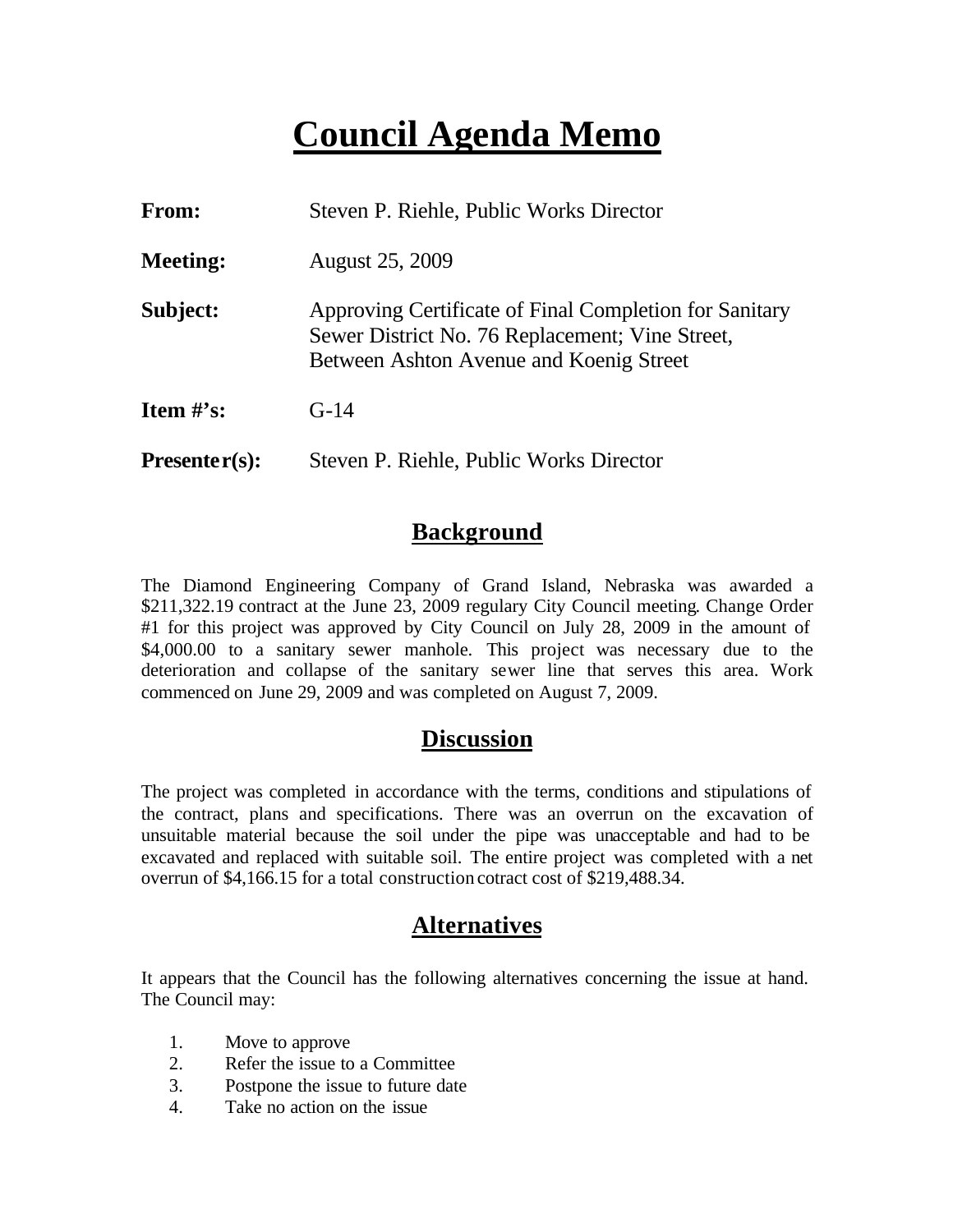## **Council Agenda Memo**

| From:           | Steven P. Riehle, Public Works Director                                                                                                              |  |  |  |
|-----------------|------------------------------------------------------------------------------------------------------------------------------------------------------|--|--|--|
| <b>Meeting:</b> | <b>August 25, 2009</b>                                                                                                                               |  |  |  |
| Subject:        | Approving Certificate of Final Completion for Sanitary<br>Sewer District No. 76 Replacement; Vine Street,<br>Between Ashton Avenue and Koenig Street |  |  |  |
| Item $#$ 's:    | $G-14$                                                                                                                                               |  |  |  |
| $Presenter(s):$ | Steven P. Riehle, Public Works Director                                                                                                              |  |  |  |

#### **Background**

The Diamond Engineering Company of Grand Island, Nebraska was awarded a \$211,322.19 contract at the June 23, 2009 regulary City Council meeting. Change Order #1 for this project was approved by City Council on July 28, 2009 in the amount of \$4,000.00 to a sanitary sewer manhole. This project was necessary due to the deterioration and collapse of the sanitary sewer line that serves this area. Work commenced on June 29, 2009 and was completed on August 7, 2009.

#### **Discussion**

The project was completed in accordance with the terms, conditions and stipulations of the contract, plans and specifications. There was an overrun on the excavation of unsuitable material because the soil under the pipe was unacceptable and had to be excavated and replaced with suitable soil. The entire project was completed with a net overrun of \$4,166.15 for a total construction cotract cost of \$219,488.34.

### **Alternatives**

It appears that the Council has the following alternatives concerning the issue at hand. The Council may:

- 1. Move to approve
- 2. Refer the issue to a Committee
- 3. Postpone the issue to future date
- 4. Take no action on the issue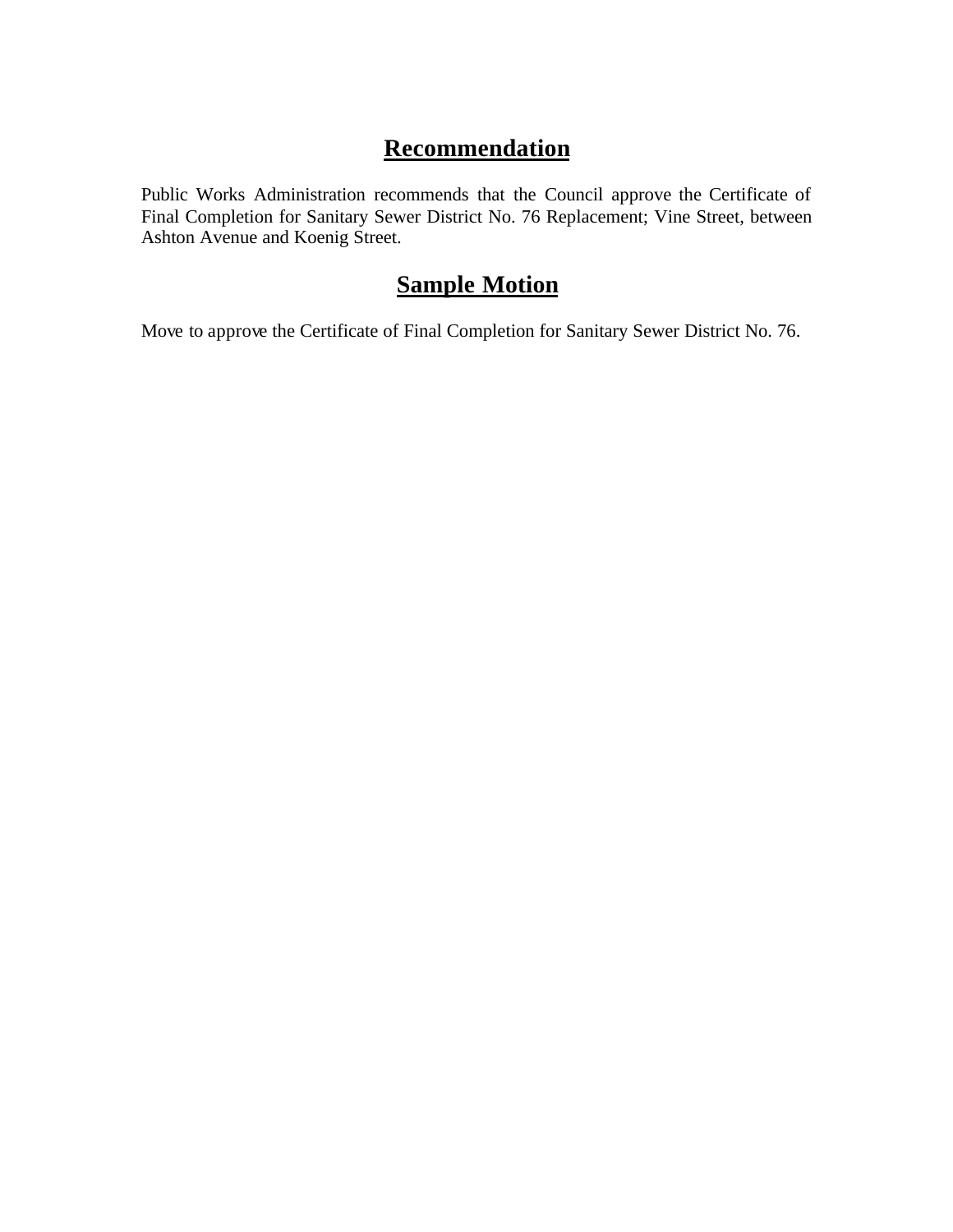## **Recommendation**

Public Works Administration recommends that the Council approve the Certificate of Final Completion for Sanitary Sewer District No. 76 Replacement; Vine Street, between Ashton Avenue and Koenig Street.

### **Sample Motion**

Move to approve the Certificate of Final Completion for Sanitary Sewer District No. 76.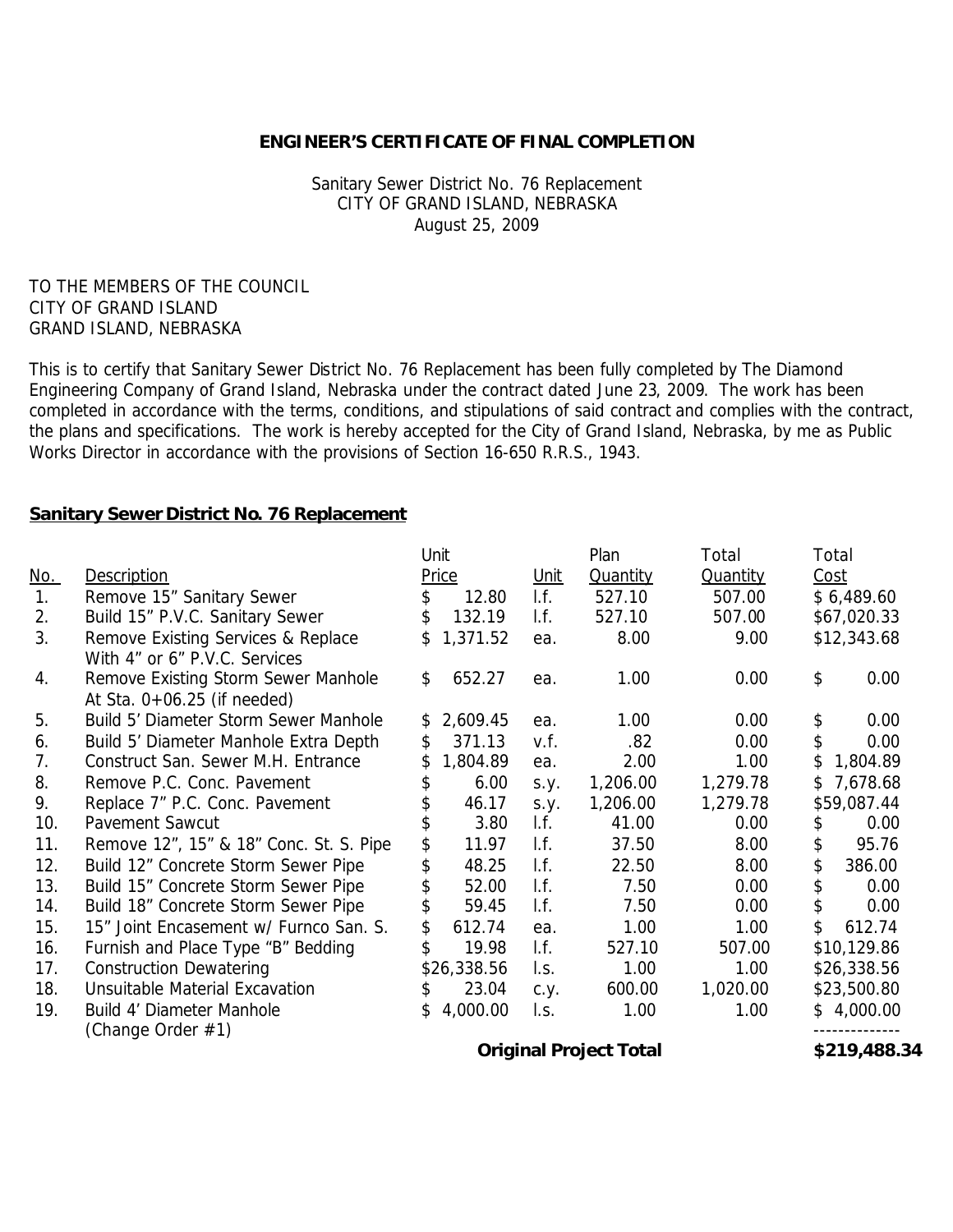#### **ENGINEER'S CERTIFICATE OF FINAL COMPLETION**

Sanitary Sewer District No. 76 Replacement CITY OF GRAND ISLAND, NEBRASKA August 25, 2009

TO THE MEMBERS OF THE COUNCIL CITY OF GRAND ISLAND GRAND ISLAND, NEBRASKA

This is to certify that Sanitary Sewer District No. 76 Replacement has been fully completed by The Diamond Engineering Company of Grand Island, Nebraska under the contract dated June 23, 2009. The work has been completed in accordance with the terms, conditions, and stipulations of said contract and complies with the contract, the plans and specifications. The work is hereby accepted for the City of Grand Island, Nebraska, by me as Public Works Director in accordance with the provisions of Section 16-650 R.R.S., 1943.

#### **Sanitary Sewer District No. 76 Replacement**

|                |                                                                      | Unit           |                          | Plan            | Total           | Total           |
|----------------|----------------------------------------------------------------------|----------------|--------------------------|-----------------|-----------------|-----------------|
| <u>No.</u>     | Description                                                          | Price          | Unit                     | <b>Quantity</b> | <b>Quantity</b> | Cost            |
| $\mathbf{1}$ . | Remove 15" Sanitary Sewer                                            | 12.80<br>\$.   | I.f.                     | 527.10          | 507.00          | \$6,489.60      |
| 2.             | Build 15" P.V.C. Sanitary Sewer                                      | \$<br>132.19   | I.f.                     | 527.10          | 507.00          | \$67,020.33     |
| 3.             | Remove Existing Services & Replace<br>With 4" or 6" P.V.C. Services  | 1,371.52<br>\$ | ea.                      | 8.00            | 9.00            | \$12,343.68     |
| 4.             | Remove Existing Storm Sewer Manhole<br>At Sta. $0+06.25$ (if needed) | \$<br>652.27   | ea.                      | 1.00            | 0.00            | \$<br>0.00      |
| 5.             | Build 5' Diameter Storm Sewer Manhole                                | 2,609.45<br>\$ | ea.                      | 1.00            | 0.00            | \$<br>0.00      |
| 6.             | Build 5' Diameter Manhole Extra Depth                                | 371.13<br>\$   | v.f.                     | .82             | 0.00            | \$<br>0.00      |
| 7.             | Construct San. Sewer M.H. Entrance                                   | 1,804.89       | ea.                      | 2.00            | 1.00            | \$<br>1,804.89  |
| 8.             | Remove P.C. Conc. Pavement                                           | 6.00           | S.Y.                     | 1,206.00        | 1,279.78        | 7,678.68<br>\$. |
| 9.             | Replace 7" P.C. Conc. Pavement                                       | 46.17          | S.y.                     | 1,206.00        | 1,279.78        | \$59,087.44     |
| 10.            | Pavement Sawcut                                                      | 3.80           | $\mathsf{I}.\mathsf{f}.$ | 41.00           | 0.00            | 0.00            |
| 11.            | Remove 12", 15" & 18" Conc. St. S. Pipe                              | \$<br>11.97    | I.f.                     | 37.50           | 8.00            | \$<br>95.76     |
| 12.            | Build 12" Concrete Storm Sewer Pipe                                  | \$<br>48.25    | I.f.                     | 22.50           | 8.00            | \$<br>386.00    |
| 13.            | Build 15" Concrete Storm Sewer Pipe                                  | 52.00          | I.f.                     | 7.50            | 0.00            | \$<br>0.00      |
| 14.            | Build 18" Concrete Storm Sewer Pipe                                  | 59.45          | I.f.                     | 7.50            | 0.00            | \$<br>0.00      |
| 15.            | 15" Joint Encasement w/ Furnco San. S.                               | \$<br>612.74   | ea.                      | 1.00            | 1.00            | \$<br>612.74    |
| 16.            | Furnish and Place Type "B" Bedding                                   | 19.98          | $\mathsf{I}.\mathsf{f}.$ | 527.10          | 507.00          | \$10,129.86     |
| 17.            | <b>Construction Dewatering</b>                                       | \$26,338.56    | I.s.                     | 1.00            | 1.00            | \$26,338.56     |
| 18.            | Unsuitable Material Excavation                                       | 23.04<br>\$    | c.y.                     | 600.00          | 1,020.00        | \$23,500.80     |
| 19.            | Build 4' Diameter Manhole<br>(Change Order #1)                       | 4,000.00<br>\$ | I.s.                     | 1.00            | 1.00            | \$4,000.00      |

**Original Project Total \$219,488.34**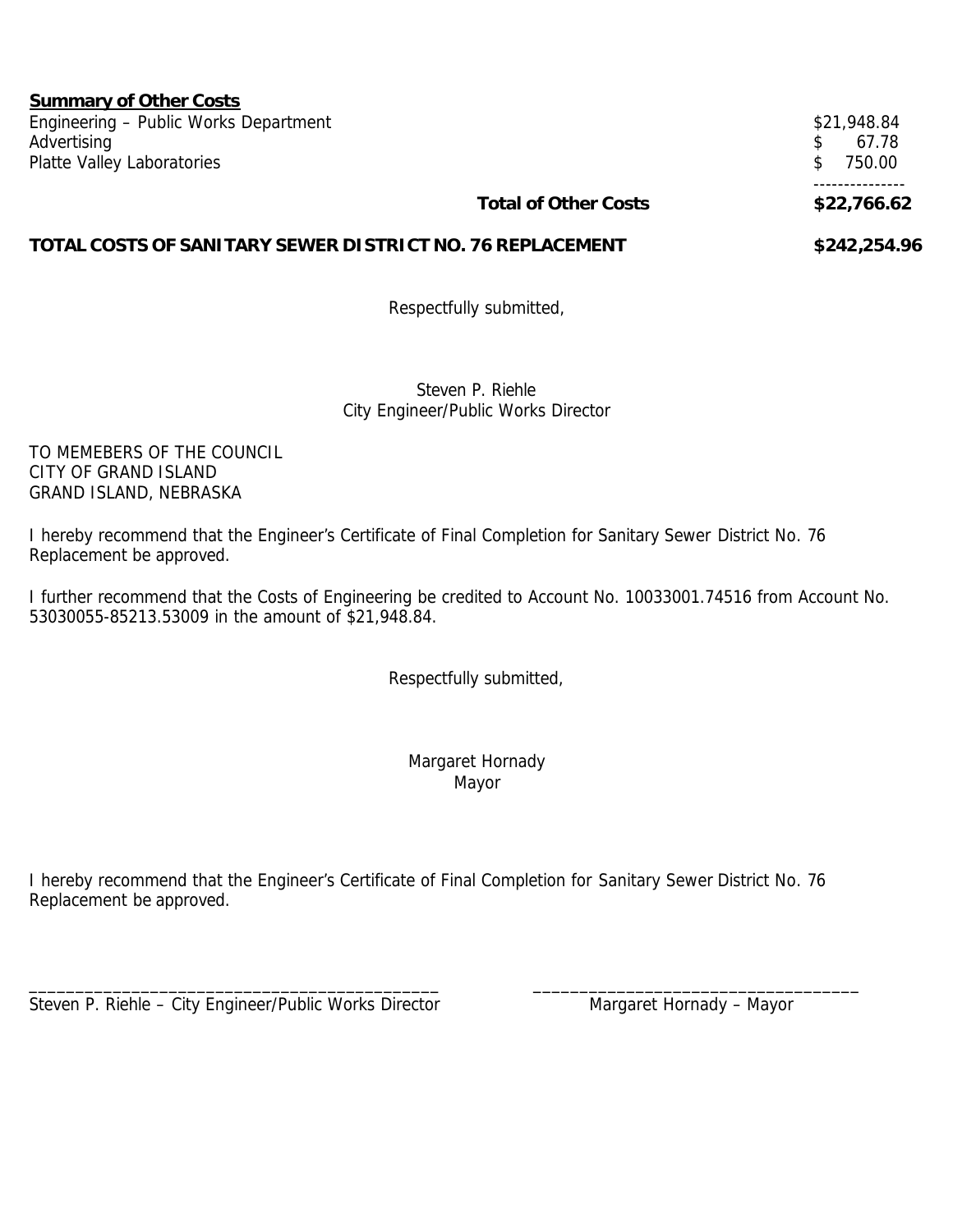| <b>Summary of Other Costs</b>                             |                             |               |
|-----------------------------------------------------------|-----------------------------|---------------|
| Engineering - Public Works Department                     |                             | \$21,948.84   |
| Advertising                                               |                             | 67.78         |
| Platte Valley Laboratories                                |                             | 750.00<br>\$. |
|                                                           | <b>Total of Other Costs</b> | \$22,766.62   |
| TOTAL COSTS OF SANITARY SEWER DISTRICT NO. 76 REPLACEMENT | \$242,254.96                |               |

Respectfully submitted,

Steven P. Riehle City Engineer/Public Works Director

TO MEMEBERS OF THE COUNCIL CITY OF GRAND ISLAND GRAND ISLAND, NEBRASKA

I hereby recommend that the Engineer's Certificate of Final Completion for Sanitary Sewer District No. 76 Replacement be approved.

I further recommend that the Costs of Engineering be credited to Account No. 10033001.74516 from Account No. 53030055-85213.53009 in the amount of \$21,948.84.

Respectfully submitted,

Margaret Hornady Mayor

I hereby recommend that the Engineer's Certificate of Final Completion for Sanitary Sewer District No. 76 Replacement be approved.

\_\_\_\_\_\_\_\_\_\_\_\_\_\_\_\_\_\_\_\_\_\_\_\_\_\_\_\_\_\_\_\_\_\_\_\_\_\_\_\_\_\_\_\_ \_\_\_\_\_\_\_\_\_\_\_\_\_\_\_\_\_\_\_\_\_\_\_\_\_\_\_\_\_\_\_\_\_\_\_

Steven P. Riehle – City Engineer/Public Works Director Mangaret Hornady – Mayor